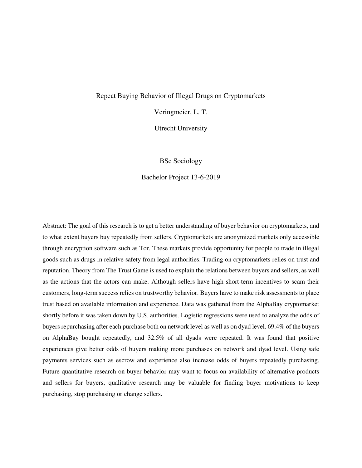## Repeat Buying Behavior of Illegal Drugs on Cryptomarkets

Veringmeier, L. T.

Utrecht University

BSc Sociology

Bachelor Project 13-6-2019

Abstract: The goal of this research is to get a better understanding of buyer behavior on cryptomarkets, and to what extent buyers buy repeatedly from sellers. Cryptomarkets are anonymized markets only accessible through encryption software such as Tor. These markets provide opportunity for people to trade in illegal goods such as drugs in relative safety from legal authorities. Trading on cryptomarkets relies on trust and reputation. Theory from The Trust Game is used to explain the relations between buyers and sellers, as well as the actions that the actors can make. Although sellers have high short-term incentives to scam their customers, long-term success relies on trustworthy behavior. Buyers have to make risk assessments to place trust based on available information and experience. Data was gathered from the AlphaBay cryptomarket shortly before it was taken down by U.S. authorities. Logistic regressions were used to analyze the odds of buyers repurchasing after each purchase both on network level as well as on dyad level. 69.4% of the buyers on AlphaBay bought repeatedly, and 32.5% of all dyads were repeated. It was found that positive experiences give better odds of buyers making more purchases on network and dyad level. Using safe payments services such as escrow and experience also increase odds of buyers repeatedly purchasing. Future quantitative research on buyer behavior may want to focus on availability of alternative products and sellers for buyers, qualitative research may be valuable for finding buyer motivations to keep purchasing, stop purchasing or change sellers.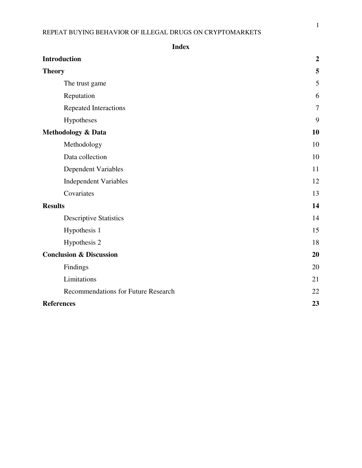| <b>Index</b>                               |                |
|--------------------------------------------|----------------|
| <b>Introduction</b>                        | $\overline{2}$ |
| <b>Theory</b>                              | 5              |
| The trust game                             | 5              |
| Reputation                                 | 6              |
| Repeated Interactions                      | $\overline{7}$ |
| Hypotheses                                 | 9              |
| Methodology & Data                         | <b>10</b>      |
| Methodology                                | 10             |
| Data collection                            | 10             |
| <b>Dependent Variables</b>                 | 11             |
| <b>Independent Variables</b>               | 12             |
| Covariates                                 | 13             |
| <b>Results</b>                             | 14             |
| <b>Descriptive Statistics</b>              | 14             |
| Hypothesis 1                               | 15             |
| Hypothesis 2                               | 18             |
| <b>Conclusion &amp; Discussion</b>         | 20             |
| Findings                                   | 20             |
| Limitations                                | 21             |
| <b>Recommendations for Future Research</b> | 22             |
| <b>References</b>                          | 23             |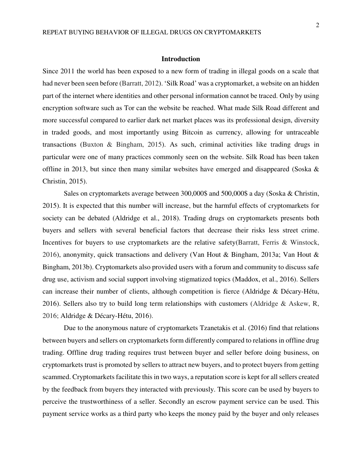#### **Introduction**

Since 2011 the world has been exposed to a new form of trading in illegal goods on a scale that had never been seen before (Barratt, 2012). 'Silk Road' was a cryptomarket, a website on an hidden part of the internet where identities and other personal information cannot be traced. Only by using encryption software such as Tor can the website be reached. What made Silk Road different and more successful compared to earlier dark net market places was its professional design, diversity in traded goods, and most importantly using Bitcoin as currency, allowing for untraceable transactions (Buxton & Bingham, 2015). As such, criminal activities like trading drugs in particular were one of many practices commonly seen on the website. Silk Road has been taken offline in 2013, but since then many similar websites have emerged and disappeared (Soska & Christin, 2015).

Sales on cryptomarkets average between 300,000\$ and 500,000\$ a day (Soska & Christin, 2015). It is expected that this number will increase, but the harmful effects of cryptomarkets for society can be debated (Aldridge et al., 2018). Trading drugs on cryptomarkets presents both buyers and sellers with several beneficial factors that decrease their risks less street crime. Incentives for buyers to use cryptomarkets are the relative safety(Barratt, Ferris & Winstock, 2016), anonymity, quick transactions and delivery (Van Hout & Bingham, 2013a; Van Hout & Bingham, 2013b). Cryptomarkets also provided users with a forum and community to discuss safe drug use, activism and social support involving stigmatized topics (Maddox, et al., 2016). Sellers can increase their number of clients, although competition is fierce (Aldridge & Décary-Hétu, 2016). Sellers also try to build long term relationships with customers (Aldridge  $\&$  Askew, R, 2016; Aldridge & Décary-Hétu, 2016).

Due to the anonymous nature of cryptomarkets Tzanetakis et al. (2016) find that relations between buyers and sellers on cryptomarkets form differently compared to relations in offline drug trading. Offline drug trading requires trust between buyer and seller before doing business, on cryptomarkets trust is promoted by sellers to attract new buyers, and to protect buyers from getting scammed. Cryptomarkets facilitate this in two ways, a reputation score is kept for all sellers created by the feedback from buyers they interacted with previously. This score can be used by buyers to perceive the trustworthiness of a seller. Secondly an escrow payment service can be used. This payment service works as a third party who keeps the money paid by the buyer and only releases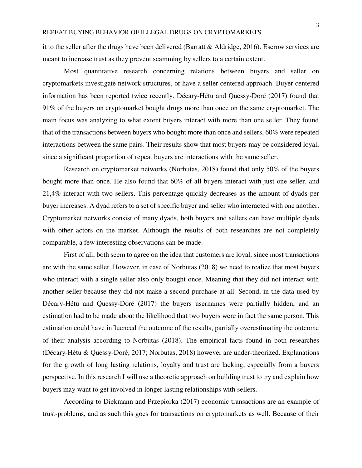it to the seller after the drugs have been delivered (Barratt & Aldridge, 2016). Escrow services are meant to increase trust as they prevent scamming by sellers to a certain extent.

Most quantitative research concerning relations between buyers and seller on cryptomarkets investigate network structures, or have a seller centered approach. Buyer centered information has been reported twice recently. Décary-Hétu and Quessy-Doré (2017) found that 91% of the buyers on cryptomarket bought drugs more than once on the same cryptomarket. The main focus was analyzing to what extent buyers interact with more than one seller. They found that of the transactions between buyers who bought more than once and sellers, 60% were repeated interactions between the same pairs. Their results show that most buyers may be considered loyal, since a significant proportion of repeat buyers are interactions with the same seller.

Research on cryptomarket networks (Norbutas, 2018) found that only 50% of the buyers bought more than once. He also found that 60% of all buyers interact with just one seller, and 21,4% interact with two sellers. This percentage quickly decreases as the amount of dyads per buyer increases. A dyad refers to a set of specific buyer and seller who interacted with one another. Cryptomarket networks consist of many dyads, both buyers and sellers can have multiple dyads with other actors on the market. Although the results of both researches are not completely comparable, a few interesting observations can be made.

First of all, both seem to agree on the idea that customers are loyal, since most transactions are with the same seller. However, in case of Norbutas (2018) we need to realize that most buyers who interact with a single seller also only bought once. Meaning that they did not interact with another seller because they did not make a second purchase at all. Second, in the data used by Décary-Hétu and Quessy-Doré (2017) the buyers usernames were partially hidden, and an estimation had to be made about the likelihood that two buyers were in fact the same person. This estimation could have influenced the outcome of the results, partially overestimating the outcome of their analysis according to Norbutas (2018). The empirical facts found in both researches (Décary-Hétu & Quessy-Doré, 2017; Norbutas, 2018) however are under-theorized. Explanations for the growth of long lasting relations, loyalty and trust are lacking, especially from a buyers perspective. In this research I will use a theoretic approach on building trust to try and explain how buyers may want to get involved in longer lasting relationships with sellers.

 According to Diekmann and Przepiorka (2017) economic transactions are an example of trust-problems, and as such this goes for transactions on cryptomarkets as well. Because of their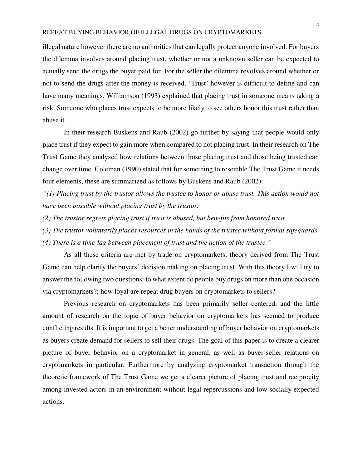illegal nature however there are no authorities that can legally protect anyone involved. For buyers the dilemma involves around placing trust, whether or not a unknown seller can be expected to actually send the drugs the buyer paid for. For the seller the dilemma revolves around whether or not to send the drugs after the money is received. 'Trust' however is difficult to define and can have many meanings. Williamson (1993) explained that placing trust in someone means taking a risk. Someone who places trust expects to be more likely to see others honor this trust rather than abuse it.

In their research Buskens and Raub (2002) go further by saying that people would only place trust if they expect to gain more when compared to not placing trust. In their research on The Trust Game they analyzed how relations between those placing trust and those being trusted can change over time. Coleman (1990) stated that for something to resemble The Trust Game it needs four elements, these are summarized as follows by Buskens and Raub (2002):

*"(1) Placing trust by the trustor allows the trustee to honor or abuse trust. This action would not have been possible without placing trust by the trustor.* 

*(2) The trustor regrets placing trust if trust is abused, but benefits from honored trust.* 

*(3) The trustor voluntarily places resources in the hands of the trustee without formal safeguards.* 

*(4) There is a time-lag between placement of trust and the action of the trustee."*

As all these criteria are met by trade on cryptomarkets, theory derived from The Trust Game can help clarify the buyers' decision making on placing trust. With this theory I will try to answer the following two questions: to what extent do people buy drugs on more than one occasion via cryptomarkets?; how loyal are repeat drug buyers on cryptomarkets to sellers?

Previous research on cryptomarkets has been primarily seller centered, and the little amount of research on the topic of buyer behavior on cryptomarkets has seemed to produce conflicting results. It is important to get a better understanding of buyer behavior on cryptomarkets as buyers create demand for sellers to sell their drugs. The goal of this paper is to create a clearer picture of buyer behavior on a cryptomarket in general, as well as buyer-seller relations on cryptomarkets in particular. Furthermore by analyzing cryptomarket transaction through the theoretic framework of The Trust Game we get a clearer picture of placing trust and reciprocity among invested actors in an environment without legal repercussions and low socially expected actions.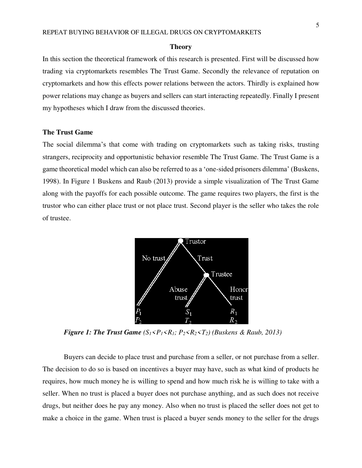#### **Theory**

In this section the theoretical framework of this research is presented. First will be discussed how trading via cryptomarkets resembles The Trust Game. Secondly the relevance of reputation on cryptomarkets and how this effects power relations between the actors. Thirdly is explained how power relations may change as buyers and sellers can start interacting repeatedly. Finally I present my hypotheses which I draw from the discussed theories.

### **The Trust Game**

The social dilemma's that come with trading on cryptomarkets such as taking risks, trusting strangers, reciprocity and opportunistic behavior resemble The Trust Game. The Trust Game is a game theoretical model which can also be referred to as a 'one-sided prisoners dilemma' (Buskens, 1998). In Figure 1 Buskens and Raub (2013) provide a simple visualization of The Trust Game along with the payoffs for each possible outcome. The game requires two players, the first is the trustor who can either place trust or not place trust. Second player is the seller who takes the role of trustee.



*Figure 1: The Trust Game*  $(S_1 < P_1 < R_1; P_2 < R_2 < T_2)$  (Buskens & Raub, 2013)

Buyers can decide to place trust and purchase from a seller, or not purchase from a seller. The decision to do so is based on incentives a buyer may have, such as what kind of products he requires, how much money he is willing to spend and how much risk he is willing to take with a seller. When no trust is placed a buyer does not purchase anything, and as such does not receive drugs, but neither does he pay any money. Also when no trust is placed the seller does not get to make a choice in the game. When trust is placed a buyer sends money to the seller for the drugs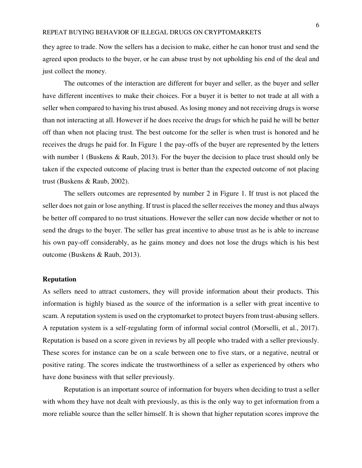they agree to trade. Now the sellers has a decision to make, either he can honor trust and send the agreed upon products to the buyer, or he can abuse trust by not upholding his end of the deal and just collect the money.

The outcomes of the interaction are different for buyer and seller, as the buyer and seller have different incentives to make their choices. For a buyer it is better to not trade at all with a seller when compared to having his trust abused. As losing money and not receiving drugs is worse than not interacting at all. However if he does receive the drugs for which he paid he will be better off than when not placing trust. The best outcome for the seller is when trust is honored and he receives the drugs he paid for. In Figure 1 the pay-offs of the buyer are represented by the letters with number 1 (Buskens & Raub, 2013). For the buyer the decision to place trust should only be taken if the expected outcome of placing trust is better than the expected outcome of not placing trust (Buskens & Raub, 2002).

The sellers outcomes are represented by number 2 in Figure 1. If trust is not placed the seller does not gain or lose anything. If trust is placed the seller receives the money and thus always be better off compared to no trust situations. However the seller can now decide whether or not to send the drugs to the buyer. The seller has great incentive to abuse trust as he is able to increase his own pay-off considerably, as he gains money and does not lose the drugs which is his best outcome (Buskens & Raub, 2013).

## **Reputation**

As sellers need to attract customers, they will provide information about their products. This information is highly biased as the source of the information is a seller with great incentive to scam. A reputation system is used on the cryptomarket to protect buyers from trust-abusing sellers. A reputation system is a self-regulating form of informal social control (Morselli, et al., 2017). Reputation is based on a score given in reviews by all people who traded with a seller previously. These scores for instance can be on a scale between one to five stars, or a negative, neutral or positive rating. The scores indicate the trustworthiness of a seller as experienced by others who have done business with that seller previously.

Reputation is an important source of information for buyers when deciding to trust a seller with whom they have not dealt with previously, as this is the only way to get information from a more reliable source than the seller himself. It is shown that higher reputation scores improve the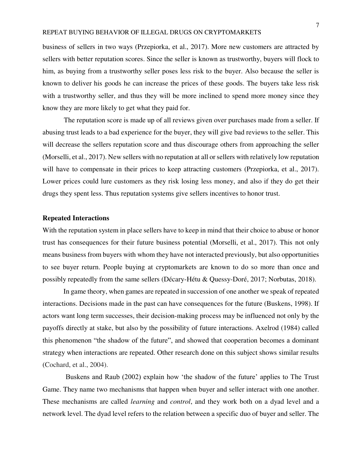business of sellers in two ways (Przepiorka, et al., 2017). More new customers are attracted by sellers with better reputation scores. Since the seller is known as trustworthy, buyers will flock to him, as buying from a trustworthy seller poses less risk to the buyer. Also because the seller is known to deliver his goods he can increase the prices of these goods. The buyers take less risk with a trustworthy seller, and thus they will be more inclined to spend more money since they know they are more likely to get what they paid for.

The reputation score is made up of all reviews given over purchases made from a seller. If abusing trust leads to a bad experience for the buyer, they will give bad reviews to the seller. This will decrease the sellers reputation score and thus discourage others from approaching the seller (Morselli, et al., 2017). New sellers with no reputation at all or sellers with relatively low reputation will have to compensate in their prices to keep attracting customers (Przepiorka, et al., 2017). Lower prices could lure customers as they risk losing less money, and also if they do get their drugs they spent less. Thus reputation systems give sellers incentives to honor trust.

# **Repeated Interactions**

With the reputation system in place sellers have to keep in mind that their choice to abuse or honor trust has consequences for their future business potential (Morselli, et al., 2017). This not only means business from buyers with whom they have not interacted previously, but also opportunities to see buyer return. People buying at cryptomarkets are known to do so more than once and possibly repeatedly from the same sellers (Décary-Hétu & Quessy-Doré, 2017; Norbutas, 2018).

In game theory, when games are repeated in succession of one another we speak of repeated interactions. Decisions made in the past can have consequences for the future (Buskens, 1998). If actors want long term successes, their decision-making process may be influenced not only by the payoffs directly at stake, but also by the possibility of future interactions. Axelrod (1984) called this phenomenon "the shadow of the future", and showed that cooperation becomes a dominant strategy when interactions are repeated. Other research done on this subject shows similar results (Cochard, et al., 2004).

Buskens and Raub (2002) explain how 'the shadow of the future' applies to The Trust Game. They name two mechanisms that happen when buyer and seller interact with one another. These mechanisms are called *learning* and *control*, and they work both on a dyad level and a network level. The dyad level refers to the relation between a specific duo of buyer and seller. The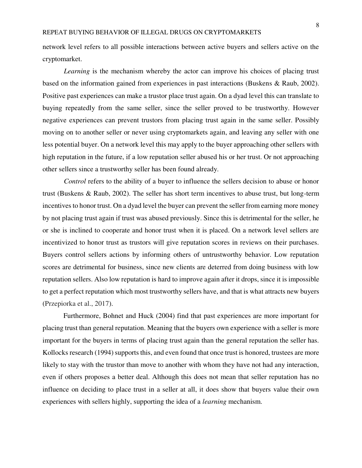network level refers to all possible interactions between active buyers and sellers active on the cryptomarket.

*Learning* is the mechanism whereby the actor can improve his choices of placing trust based on the information gained from experiences in past interactions (Buskens & Raub, 2002). Positive past experiences can make a trustor place trust again. On a dyad level this can translate to buying repeatedly from the same seller, since the seller proved to be trustworthy. However negative experiences can prevent trustors from placing trust again in the same seller. Possibly moving on to another seller or never using cryptomarkets again, and leaving any seller with one less potential buyer. On a network level this may apply to the buyer approaching other sellers with high reputation in the future, if a low reputation seller abused his or her trust. Or not approaching other sellers since a trustworthy seller has been found already.

*Control* refers to the ability of a buyer to influence the sellers decision to abuse or honor trust (Buskens & Raub, 2002). The seller has short term incentives to abuse trust, but long-term incentives to honor trust. On a dyad level the buyer can prevent the seller from earning more money by not placing trust again if trust was abused previously. Since this is detrimental for the seller, he or she is inclined to cooperate and honor trust when it is placed. On a network level sellers are incentivized to honor trust as trustors will give reputation scores in reviews on their purchases. Buyers control sellers actions by informing others of untrustworthy behavior. Low reputation scores are detrimental for business, since new clients are deterred from doing business with low reputation sellers. Also low reputation is hard to improve again after it drops, since it is impossible to get a perfect reputation which most trustworthy sellers have, and that is what attracts new buyers (Przepiorka et al., 2017).

Furthermore, Bohnet and Huck (2004) find that past experiences are more important for placing trust than general reputation. Meaning that the buyers own experience with a seller is more important for the buyers in terms of placing trust again than the general reputation the seller has. Kollocks research (1994) supports this, and even found that once trust is honored, trustees are more likely to stay with the trustor than move to another with whom they have not had any interaction, even if others proposes a better deal. Although this does not mean that seller reputation has no influence on deciding to place trust in a seller at all, it does show that buyers value their own experiences with sellers highly, supporting the idea of a *learning* mechanism.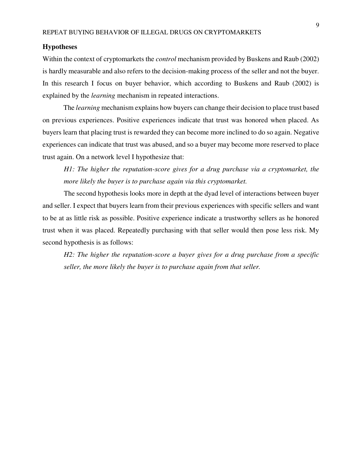## **Hypotheses**

Within the context of cryptomarkets the *control* mechanism provided by Buskens and Raub (2002) is hardly measurable and also refers to the decision-making process of the seller and not the buyer. In this research I focus on buyer behavior, which according to Buskens and Raub (2002) is explained by the *learning* mechanism in repeated interactions.

The *learning* mechanism explains how buyers can change their decision to place trust based on previous experiences. Positive experiences indicate that trust was honored when placed. As buyers learn that placing trust is rewarded they can become more inclined to do so again. Negative experiences can indicate that trust was abused, and so a buyer may become more reserved to place trust again. On a network level I hypothesize that:

*H1: The higher the reputation-score gives for a drug purchase via a cryptomarket, the more likely the buyer is to purchase again via this cryptomarket.* 

 The second hypothesis looks more in depth at the dyad level of interactions between buyer and seller. I expect that buyers learn from their previous experiences with specific sellers and want to be at as little risk as possible. Positive experience indicate a trustworthy sellers as he honored trust when it was placed. Repeatedly purchasing with that seller would then pose less risk. My second hypothesis is as follows:

*H2: The higher the reputation-score a buyer gives for a drug purchase from a specific seller, the more likely the buyer is to purchase again from that seller.*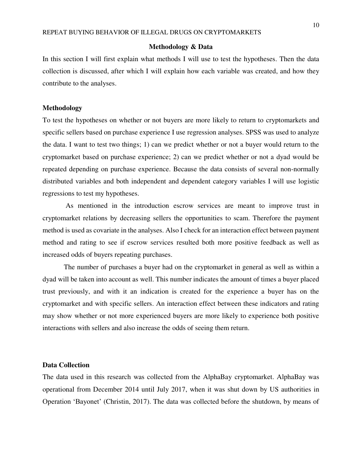### **Methodology & Data**

In this section I will first explain what methods I will use to test the hypotheses. Then the data collection is discussed, after which I will explain how each variable was created, and how they contribute to the analyses.

# **Methodology**

To test the hypotheses on whether or not buyers are more likely to return to cryptomarkets and specific sellers based on purchase experience I use regression analyses. SPSS was used to analyze the data. I want to test two things; 1) can we predict whether or not a buyer would return to the cryptomarket based on purchase experience; 2) can we predict whether or not a dyad would be repeated depending on purchase experience. Because the data consists of several non-normally distributed variables and both independent and dependent category variables I will use logistic regressions to test my hypotheses.

 As mentioned in the introduction escrow services are meant to improve trust in cryptomarket relations by decreasing sellers the opportunities to scam. Therefore the payment method is used as covariate in the analyses. Also I check for an interaction effect between payment method and rating to see if escrow services resulted both more positive feedback as well as increased odds of buyers repeating purchases.

 The number of purchases a buyer had on the cryptomarket in general as well as within a dyad will be taken into account as well. This number indicates the amount of times a buyer placed trust previously, and with it an indication is created for the experience a buyer has on the cryptomarket and with specific sellers. An interaction effect between these indicators and rating may show whether or not more experienced buyers are more likely to experience both positive interactions with sellers and also increase the odds of seeing them return.

## **Data Collection**

The data used in this research was collected from the AlphaBay cryptomarket. AlphaBay was operational from December 2014 until July 2017, when it was shut down by US authorities in Operation 'Bayonet' (Christin, 2017). The data was collected before the shutdown, by means of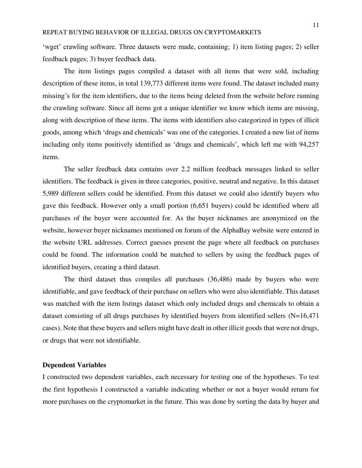'wget' crawling software. Three datasets were made, containing; 1) item listing pages; 2) seller feedback pages; 3) buyer feedback data.

The item listings pages compiled a dataset with all items that were sold, including description of these items, in total 139,773 different items were found. The dataset included many missing's for the item identifiers, due to the items being deleted from the website before running the crawling software. Since all items got a unique identifier we know which items are missing, along with description of these items. The items with identifiers also categorized in types of illicit goods, among which 'drugs and chemicals' was one of the categories. I created a new list of items including only items positively identified as 'drugs and chemicals', which left me with 94,257 items.

The seller feedback data contains over 2.2 million feedback messages linked to seller identifiers. The feedback is given in three categories, positive, neutral and negative. In this dataset 5,989 different sellers could be identified. From this dataset we could also identify buyers who gave this feedback. However only a small portion (6,651 buyers) could be identified where all purchases of the buyer were accounted for. As the buyer nicknames are anonymized on the website, however buyer nicknames mentioned on forum of the AlphaBay website were entered in the website URL addresses. Correct guesses present the page where all feedback on purchases could be found. The information could be matched to sellers by using the feedback pages of identified buyers, creating a third dataset.

The third dataset thus compiles all purchases (36,486) made by buyers who were identifiable, and gave feedback of their purchase on sellers who were also identifiable. This dataset was matched with the item listings dataset which only included drugs and chemicals to obtain a dataset consisting of all drugs purchases by identified buyers from identified sellers (N=16,471 cases). Note that these buyers and sellers might have dealt in other illicit goods that were not drugs, or drugs that were not identifiable.

## **Dependent Variables**

I constructed two dependent variables, each necessary for testing one of the hypotheses. To test the first hypothesis I constructed a variable indicating whether or not a buyer would return for more purchases on the cryptomarket in the future. This was done by sorting the data by buyer and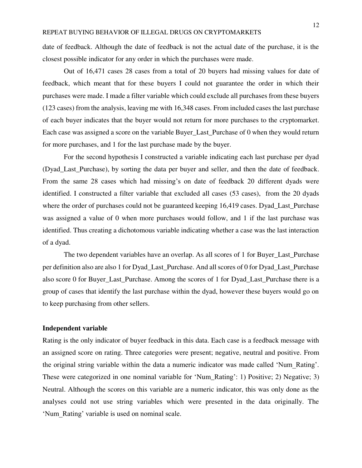date of feedback. Although the date of feedback is not the actual date of the purchase, it is the closest possible indicator for any order in which the purchases were made.

Out of 16,471 cases 28 cases from a total of 20 buyers had missing values for date of feedback, which meant that for these buyers I could not guarantee the order in which their purchases were made. I made a filter variable which could exclude all purchases from these buyers (123 cases) from the analysis, leaving me with 16,348 cases. From included cases the last purchase of each buyer indicates that the buyer would not return for more purchases to the cryptomarket. Each case was assigned a score on the variable Buyer\_Last\_Purchase of 0 when they would return for more purchases, and 1 for the last purchase made by the buyer.

For the second hypothesis I constructed a variable indicating each last purchase per dyad (Dyad\_Last\_Purchase), by sorting the data per buyer and seller, and then the date of feedback. From the same 28 cases which had missing's on date of feedback 20 different dyads were identified. I constructed a filter variable that excluded all cases (53 cases), from the 20 dyads where the order of purchases could not be guaranteed keeping 16,419 cases. Dyad\_Last\_Purchase was assigned a value of 0 when more purchases would follow, and 1 if the last purchase was identified. Thus creating a dichotomous variable indicating whether a case was the last interaction of a dyad.

The two dependent variables have an overlap. As all scores of 1 for Buyer\_Last\_Purchase per definition also are also 1 for Dyad\_Last\_Purchase. And all scores of 0 for Dyad\_Last\_Purchase also score 0 for Buyer\_Last\_Purchase. Among the scores of 1 for Dyad\_Last\_Purchase there is a group of cases that identify the last purchase within the dyad, however these buyers would go on to keep purchasing from other sellers.

# **Independent variable**

Rating is the only indicator of buyer feedback in this data. Each case is a feedback message with an assigned score on rating. Three categories were present; negative, neutral and positive. From the original string variable within the data a numeric indicator was made called 'Num\_Rating'. These were categorized in one nominal variable for 'Num\_Rating': 1) Positive; 2) Negative; 3) Neutral. Although the scores on this variable are a numeric indicator, this was only done as the analyses could not use string variables which were presented in the data originally. The 'Num\_Rating' variable is used on nominal scale.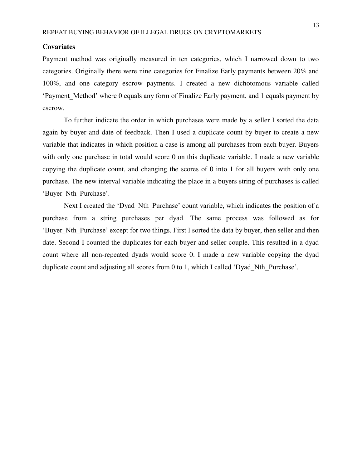### **Covariates**

Payment method was originally measured in ten categories, which I narrowed down to two categories. Originally there were nine categories for Finalize Early payments between 20% and 100%, and one category escrow payments. I created a new dichotomous variable called 'Payment Method' where 0 equals any form of Finalize Early payment, and 1 equals payment by escrow.

To further indicate the order in which purchases were made by a seller I sorted the data again by buyer and date of feedback. Then I used a duplicate count by buyer to create a new variable that indicates in which position a case is among all purchases from each buyer. Buyers with only one purchase in total would score 0 on this duplicate variable. I made a new variable copying the duplicate count, and changing the scores of 0 into 1 for all buyers with only one purchase. The new interval variable indicating the place in a buyers string of purchases is called 'Buyer\_Nth\_Purchase'.

Next I created the 'Dyad Nth Purchase' count variable, which indicates the position of a purchase from a string purchases per dyad. The same process was followed as for 'Buyer\_Nth\_Purchase' except for two things. First I sorted the data by buyer, then seller and then date. Second I counted the duplicates for each buyer and seller couple. This resulted in a dyad count where all non-repeated dyads would score 0. I made a new variable copying the dyad duplicate count and adjusting all scores from 0 to 1, which I called 'Dyad Nth Purchase'.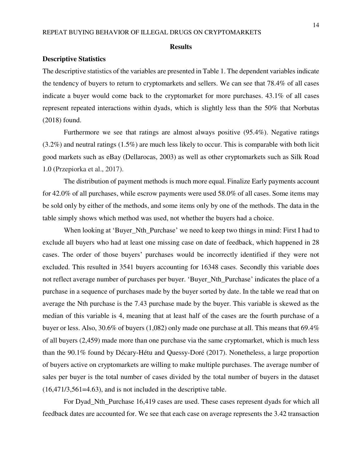#### **Results**

#### **Descriptive Statistics**

The descriptive statistics of the variables are presented in Table 1. The dependent variables indicate the tendency of buyers to return to cryptomarkets and sellers. We can see that 78.4% of all cases indicate a buyer would come back to the cryptomarket for more purchases. 43.1% of all cases represent repeated interactions within dyads, which is slightly less than the 50% that Norbutas (2018) found.

Furthermore we see that ratings are almost always positive (95.4%). Negative ratings (3.2%) and neutral ratings (1.5%) are much less likely to occur. This is comparable with both licit good markets such as eBay (Dellarocas, 2003) as well as other cryptomarkets such as Silk Road 1.0 (Przepiorka et al., 2017).

The distribution of payment methods is much more equal. Finalize Early payments account for 42.0% of all purchases, while escrow payments were used 58.0% of all cases. Some items may be sold only by either of the methods, and some items only by one of the methods. The data in the table simply shows which method was used, not whether the buyers had a choice.

When looking at 'Buyer\_Nth\_Purchase' we need to keep two things in mind: First I had to exclude all buyers who had at least one missing case on date of feedback, which happened in 28 cases. The order of those buyers' purchases would be incorrectly identified if they were not excluded. This resulted in 3541 buyers accounting for 16348 cases. Secondly this variable does not reflect average number of purchases per buyer. 'Buyer\_Nth\_Purchase' indicates the place of a purchase in a sequence of purchases made by the buyer sorted by date. In the table we read that on average the Nth purchase is the 7.43 purchase made by the buyer. This variable is skewed as the median of this variable is 4, meaning that at least half of the cases are the fourth purchase of a buyer or less. Also, 30.6% of buyers (1,082) only made one purchase at all. This means that 69.4% of all buyers (2,459) made more than one purchase via the same cryptomarket, which is much less than the 90.1% found by Décary-Hétu and Quessy-Doré (2017). Nonetheless, a large proportion of buyers active on cryptomarkets are willing to make multiple purchases. The average number of sales per buyer is the total number of cases divided by the total number of buyers in the dataset (16,471/3,561=4.63), and is not included in the descriptive table.

For Dyad\_Nth\_Purchase 16,419 cases are used. These cases represent dyads for which all feedback dates are accounted for. We see that each case on average represents the 3.42 transaction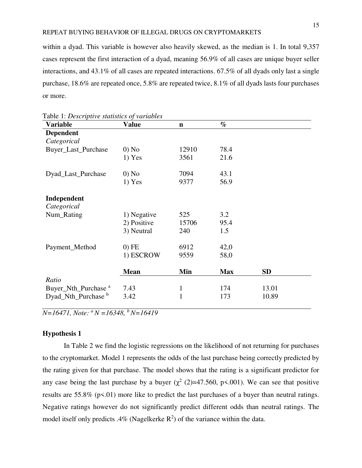within a dyad. This variable is however also heavily skewed, as the median is 1. In total 9,357 cases represent the first interaction of a dyad, meaning 56.9% of all cases are unique buyer seller interactions, and 43.1% of all cases are repeated interactions. 67.5% of all dyads only last a single purchase, 18.6% are repeated once, 5.8% are repeated twice, 8.1% of all dyads lasts four purchases or more.

| <b>Variable</b>                 | <b>Value</b> | $\mathbf n$  | $\%$       |           |  |
|---------------------------------|--------------|--------------|------------|-----------|--|
| <b>Dependent</b>                |              |              |            |           |  |
| Categorical                     |              |              |            |           |  |
| Buyer_Last_Purchase             | $0)$ No      | 12910        | 78.4       |           |  |
|                                 | $1)$ Yes     | 3561         | 21.6       |           |  |
| Dyad_Last_Purchase              | $0)$ No      | 7094         | 43.1       |           |  |
|                                 | $1)$ Yes     | 9377         | 56.9       |           |  |
| Independent                     |              |              |            |           |  |
| Categorical                     |              |              |            |           |  |
| Num_Rating                      | 1) Negative  | 525          | 3.2        |           |  |
|                                 | 2) Positive  | 15706        | 95.4       |           |  |
|                                 | 3) Neutral   | 240          | 1.5        |           |  |
| Payment_Method                  | $0)$ FE      | 6912         | 42,0       |           |  |
|                                 | 1) ESCROW    | 9559         | 58,0       |           |  |
|                                 | <b>Mean</b>  | Min          | <b>Max</b> | <b>SD</b> |  |
| Ratio                           |              |              |            |           |  |
| Buyer_Nth_Purchase <sup>a</sup> | 7.43         | $\mathbf{1}$ | 174        | 13.01     |  |
| Dyad_Nth_Purchase b             | 3.42         | $\mathbf{1}$ | 173        | 10.89     |  |

|  |  |  | Table 1: Descriptive statistics of variables |
|--|--|--|----------------------------------------------|
|--|--|--|----------------------------------------------|

*N=16471, Note: <sup>a</sup>N =16348, <sup>b</sup>N=16419* 

## **Hypothesis 1**

In Table 2 we find the logistic regressions on the likelihood of not returning for purchases to the cryptomarket. Model 1 represents the odds of the last purchase being correctly predicted by the rating given for that purchase. The model shows that the rating is a significant predictor for any case being the last purchase by a buyer  $(\chi^2 \text{ (2)}=47.560, \text{ p}\times 0.001)$ . We can see that positive results are 55.8% (p<.01) more like to predict the last purchases of a buyer than neutral ratings. Negative ratings however do not significantly predict different odds than neutral ratings. The model itself only predicts .4% (Nagelkerke  $\mathbb{R}^2$ ) of the variance within the data.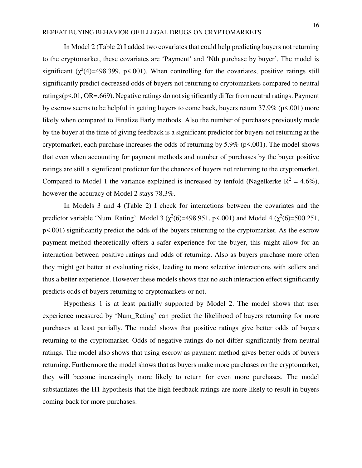In Model 2 (Table 2) I added two covariates that could help predicting buyers not returning to the cryptomarket, these covariates are 'Payment' and 'Nth purchase by buyer'. The model is significant  $(\chi^2(4)=498.399, p\lt 0.001)$ . When controlling for the covariates, positive ratings still significantly predict decreased odds of buyers not returning to cryptomarkets compared to neutral ratings(p<.01, OR=.669). Negative ratings do not significantly differ from neutral ratings. Payment by escrow seems to be helpful in getting buyers to come back, buyers return 37.9% (p<.001) more likely when compared to Finalize Early methods. Also the number of purchases previously made by the buyer at the time of giving feedback is a significant predictor for buyers not returning at the cryptomarket, each purchase increases the odds of returning by 5.9% (p<.001). The model shows that even when accounting for payment methods and number of purchases by the buyer positive ratings are still a significant predictor for the chances of buyers not returning to the cryptomarket. Compared to Model 1 the variance explained is increased by tenfold (Nagelkerke  $R^2 = 4.6\%$ ), however the accuracy of Model 2 stays 78,3%.

In Models 3 and 4 (Table 2) I check for interactions between the covariates and the predictor variable 'Num\_Rating'. Model 3 ( $\chi^2(6)$ =498.951, p<.001) and Model 4 ( $\chi^2(6)$ =500.251, p<.001) significantly predict the odds of the buyers returning to the cryptomarket. As the escrow payment method theoretically offers a safer experience for the buyer, this might allow for an interaction between positive ratings and odds of returning. Also as buyers purchase more often they might get better at evaluating risks, leading to more selective interactions with sellers and thus a better experience. However these models shows that no such interaction effect significantly predicts odds of buyers returning to cryptomarkets or not.

Hypothesis 1 is at least partially supported by Model 2. The model shows that user experience measured by 'Num\_Rating' can predict the likelihood of buyers returning for more purchases at least partially. The model shows that positive ratings give better odds of buyers returning to the cryptomarket. Odds of negative ratings do not differ significantly from neutral ratings. The model also shows that using escrow as payment method gives better odds of buyers returning. Furthermore the model shows that as buyers make more purchases on the cryptomarket, they will become increasingly more likely to return for even more purchases. The model substantiates the H1 hypothesis that the high feedback ratings are more likely to result in buyers coming back for more purchases.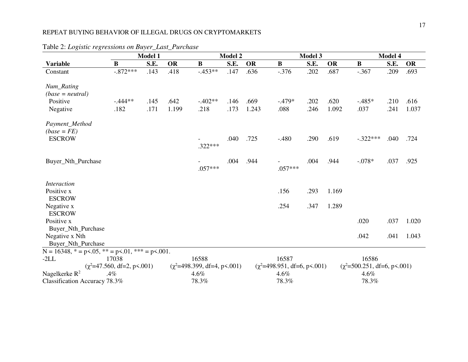|                                                                         | Model 1                         |      |           | <b>Model 2</b>                   |      |           |                                  | Model 3 |           |                                        | Model 4 |           |  |  |
|-------------------------------------------------------------------------|---------------------------------|------|-----------|----------------------------------|------|-----------|----------------------------------|---------|-----------|----------------------------------------|---------|-----------|--|--|
| <b>Variable</b>                                                         | $\bf{B}$                        | S.E. | <b>OR</b> | $\bf{B}$                         | S.E. | <b>OR</b> | $\mathbf B$                      | S.E.    | <b>OR</b> | $\bf{B}$                               | S.E.    | <b>OR</b> |  |  |
| Constant                                                                | $-.872***$                      | .143 | .418      | $-453**$                         | .147 | .636      | $-.376$                          | .202    | .687      | $-.367$                                | .209    | .693      |  |  |
| Num_Rating<br>$(base = neutral)$                                        |                                 |      |           |                                  |      |           |                                  |         |           |                                        |         |           |  |  |
| Positive                                                                | $-444**$                        | .145 | .642      | $-.402**$                        | .146 | .669      | $-.479*$                         | .202    | .620      | $-.485*$                               | .210    | .616      |  |  |
| Negative                                                                | .182                            | .171 | 1.199     | .218                             | .173 | 1.243     | .088                             | .246    | 1.092     | .037                                   | .241    | 1.037     |  |  |
| Payment_Method<br>$(base = FE)$                                         |                                 |      |           |                                  |      |           |                                  |         |           |                                        |         |           |  |  |
| <b>ESCROW</b>                                                           |                                 |      |           | .322***                          | .040 | .725      | $-.480$                          | .290    | .619      | $-.322***$                             | .040    | .724      |  |  |
| Buyer_Nth_Purchase                                                      |                                 |      |           | $.057***$                        | .004 | .944      | $.057***$                        | .004    | .944      | $-.078*$                               | .037    | .925      |  |  |
| <i>Interaction</i>                                                      |                                 |      |           |                                  |      |           |                                  |         |           |                                        |         |           |  |  |
| Positive x<br><b>ESCROW</b>                                             |                                 |      |           |                                  |      |           | .156                             | .293    | 1.169     |                                        |         |           |  |  |
| Negative x                                                              |                                 |      |           |                                  |      |           | .254                             | .347    | 1.289     |                                        |         |           |  |  |
| <b>ESCROW</b><br>Positive x                                             |                                 |      |           |                                  |      |           |                                  |         |           | .020                                   | .037    | 1.020     |  |  |
| Buyer_Nth_Purchase                                                      |                                 |      |           |                                  |      |           |                                  |         |           |                                        |         |           |  |  |
| Negative x Nth                                                          |                                 |      |           |                                  |      |           |                                  |         |           | .042                                   | .041    | 1.043     |  |  |
| Buyer_Nth_Purchase                                                      |                                 |      |           |                                  |      |           |                                  |         |           |                                        |         |           |  |  |
| $N = 16348$ , $* = p \le 0.05$ , $* = p \le 0.01$ , $* = p \le 0.001$ . |                                 |      |           |                                  |      |           |                                  |         |           |                                        |         |           |  |  |
| $-2LL$                                                                  | 17038                           |      |           | 16588                            |      |           | 16587                            |         |           | 16586                                  |         |           |  |  |
|                                                                         | $(\chi^2=47.560, df=2, p<.001)$ |      |           | $(\chi^2=498.399, df=4, p<.001)$ |      |           | $(\chi^2=498.951, df=6, p<.001)$ |         |           | $(\chi^2 = 500.251, df = 6, p < .001)$ |         |           |  |  |
| Nagelkerke $R^2$                                                        | .4%                             |      |           | 4.6%                             |      |           | 4.6%                             |         |           | 4.6%                                   |         |           |  |  |
| Classification Accuracy 78.3%                                           |                                 |      |           | 78.3%                            |      |           | 78.3%                            |         |           | 78.3%                                  |         |           |  |  |

Table 2: *Logistic regressions on Buyer\_Last\_Purchase*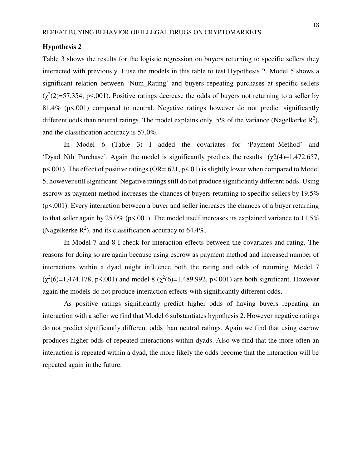# **Hypothesis 2**

Table 3 shows the results for the logistic regression on buyers returning to specific sellers they interacted with previously. I use the models in this table to test Hypothesis 2. Model 5 shows a significant relation between 'Num\_Rating' and buyers repeating purchases at specific sellers  $(\chi^2(2)=57.354, p<.001)$ . Positive ratings decrease the odds of buyers not returning to a seller by 81.4% (p<.001) compared to neutral. Negative ratings however do not predict significantly different odds than neutral ratings. The model explains only .5% of the variance (Nagelkerke  $\mathbb{R}^2$ ), and the classification accuracy is 57.0%.

In Model 6 (Table 3) I added the covariates for 'Payment Method' and 'Dyad Nth Purchase'. Again the model is significantly predicts the results  $(\gamma 2(4)=1,472.657,$ p<.001). The effect of positive ratings (OR=.621, p<.01) is slightly lower when compared to Model 5, however still significant. Negative ratings still do not produce significantly different odds. Using escrow as payment method increases the chances of buyers returning to specific sellers by 19.5% (p<.001). Every interaction between a buyer and seller increases the chances of a buyer returning to that seller again by 25.0% ( $p\leq 0.001$ ). The model itself increases its explained variance to 11.5% (Nagelkerke  $\mathbb{R}^2$ ), and its classification accuracy to 64.4%.

In Model 7 and 8 I check for interaction effects between the covariates and rating. The reasons for doing so are again because using escrow as payment method and increased number of interactions within a dyad might influence both the rating and odds of returning. Model 7  $(\chi^2(6)=1,474.178, p\leq 0.001)$  and model 8  $(\chi^2(6)=1,489.992, p\leq 0.001)$  are both significant. However again the models do not produce interaction effects with significantly different odds.

 As positive ratings significantly predict higher odds of having buyers repeating an interaction with a seller we find that Model 6 substantiates hypothesis 2. However negative ratings do not predict significantly different odds than neutral ratings. Again we find that using escrow produces higher odds of repeated interactions within dyads. Also we find that the more often an interaction is repeated within a dyad, the more likely the odds become that the interaction will be repeated again in the future.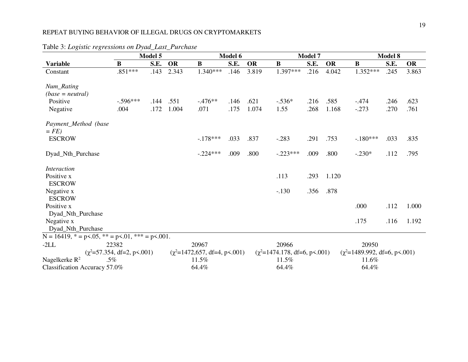|                                                                         | Model 5                               |      |           | Model 6                            |      |           |                                   | <b>Model 7</b> |           |                                   | <b>Model 8</b> |           |  |  |
|-------------------------------------------------------------------------|---------------------------------------|------|-----------|------------------------------------|------|-----------|-----------------------------------|----------------|-----------|-----------------------------------|----------------|-----------|--|--|
| <b>Variable</b>                                                         | $\bf{B}$                              | S.E. | <b>OR</b> | $\bf{B}$                           | S.E. | <b>OR</b> | $\bf{B}$                          | S.E.           | <b>OR</b> | $\bf{B}$                          | S.E.           | <b>OR</b> |  |  |
| Constant                                                                | $.851***$                             | .143 | 2.343     | $1.340***$                         | .146 | 3.819     | 1.397***                          | .216           | 4.042     | 1.352***                          | .245           | 3.863     |  |  |
| Num_Rating<br>$(base = neutral)$                                        |                                       |      |           |                                    |      |           |                                   |                |           |                                   |                |           |  |  |
| Positive                                                                | $-0.596***$                           | .144 | .551      | $-476**$                           | .146 | .621      | $-.536*$                          | .216           | .585      | $-.474$                           | .246           | .623      |  |  |
| Negative                                                                | .004                                  | .172 | 1.004     | .071                               | .175 | 1.074     | 1.55                              | .268           | 1.168     | $-.273$                           | .270           | .761      |  |  |
| Payment_Method (base<br>$= FE$                                          |                                       |      |           |                                    |      |           |                                   |                |           |                                   |                |           |  |  |
| <b>ESCROW</b>                                                           |                                       |      |           | $-178***$                          | .033 | .837      | $-.283$                           | .291           | .753      | $-.180***$                        | .033           | .835      |  |  |
| Dyad_Nth_Purchase                                                       |                                       |      |           | $-.224***$                         | .009 | .800      | $-.223***$                        | .009           | .800      | $-.230*$                          | .112           | .795      |  |  |
| <i>Interaction</i>                                                      |                                       |      |           |                                    |      |           |                                   |                |           |                                   |                |           |  |  |
| Positive x                                                              |                                       |      |           |                                    |      |           | .113                              | .293           | 1.120     |                                   |                |           |  |  |
| <b>ESCROW</b>                                                           |                                       |      |           |                                    |      |           |                                   |                |           |                                   |                |           |  |  |
| Negative x                                                              |                                       |      |           |                                    |      |           | $-.130$                           | .356           | .878      |                                   |                |           |  |  |
| <b>ESCROW</b>                                                           |                                       |      |           |                                    |      |           |                                   |                |           |                                   |                |           |  |  |
| Positive x                                                              |                                       |      |           |                                    |      |           |                                   |                |           | .000                              | .112           | 1.000     |  |  |
| Dyad_Nth_Purchase                                                       |                                       |      |           |                                    |      |           |                                   |                |           |                                   |                |           |  |  |
| Negative x                                                              |                                       |      |           |                                    |      |           |                                   |                |           | .175                              | .116           | 1.192     |  |  |
| Dyad_Nth_Purchase                                                       |                                       |      |           |                                    |      |           |                                   |                |           |                                   |                |           |  |  |
| $N = 16419$ , $* = p \le 0.05$ , $* = p \le 0.01$ , $* = p \le 0.001$ . |                                       |      |           |                                    |      |           |                                   |                |           |                                   |                |           |  |  |
| $-2LL$                                                                  | 22382                                 |      |           | 20967                              |      |           | 20966                             |                |           | 20950                             |                |           |  |  |
|                                                                         | $(\chi^2 = 57.354, df = 2, p < .001)$ |      |           | $(\chi^2=1472, 657, df=4, p<.001)$ |      |           | $(\chi^2=1474.178, df=6, p<.001)$ |                |           | $(\chi^2=1489.992, df=6, p<.001)$ |                |           |  |  |
| Nagelkerke R <sup>2</sup><br>$.5\%$                                     |                                       |      |           | 11.5%<br>64.4%                     |      |           | 11.5%<br>64.4%                    |                |           | 11.6%<br>64.4%                    |                |           |  |  |
| Classification Accuracy 57.0%                                           |                                       |      |           |                                    |      |           |                                   |                |           |                                   |                |           |  |  |

Table 3: *Logistic regressions on Dyad\_Last\_Purchase*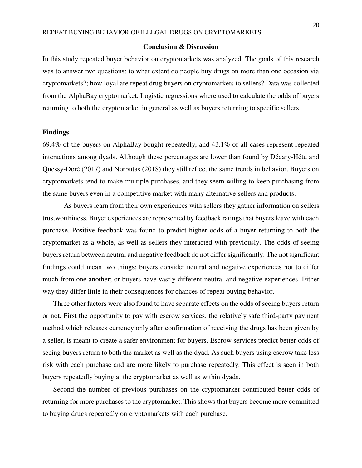#### **Conclusion & Discussion**

In this study repeated buyer behavior on cryptomarkets was analyzed. The goals of this research was to answer two questions: to what extent do people buy drugs on more than one occasion via cryptomarkets?; how loyal are repeat drug buyers on cryptomarkets to sellers? Data was collected from the AlphaBay cryptomarket. Logistic regressions where used to calculate the odds of buyers returning to both the cryptomarket in general as well as buyers returning to specific sellers.

#### **Findings**

69.4% of the buyers on AlphaBay bought repeatedly, and 43.1% of all cases represent repeated interactions among dyads. Although these percentages are lower than found by Décary-Hétu and Quessy-Doré (2017) and Norbutas (2018) they still reflect the same trends in behavior. Buyers on cryptomarkets tend to make multiple purchases, and they seem willing to keep purchasing from the same buyers even in a competitive market with many alternative sellers and products.

 As buyers learn from their own experiences with sellers they gather information on sellers trustworthiness. Buyer experiences are represented by feedback ratings that buyers leave with each purchase. Positive feedback was found to predict higher odds of a buyer returning to both the cryptomarket as a whole, as well as sellers they interacted with previously. The odds of seeing buyers return between neutral and negative feedback do not differ significantly. The not significant findings could mean two things; buyers consider neutral and negative experiences not to differ much from one another; or buyers have vastly different neutral and negative experiences. Either way they differ little in their consequences for chances of repeat buying behavior.

Three other factors were also found to have separate effects on the odds of seeing buyers return or not. First the opportunity to pay with escrow services, the relatively safe third-party payment method which releases currency only after confirmation of receiving the drugs has been given by a seller, is meant to create a safer environment for buyers. Escrow services predict better odds of seeing buyers return to both the market as well as the dyad. As such buyers using escrow take less risk with each purchase and are more likely to purchase repeatedly. This effect is seen in both buyers repeatedly buying at the cryptomarket as well as within dyads.

Second the number of previous purchases on the cryptomarket contributed better odds of returning for more purchases to the cryptomarket. This shows that buyers become more committed to buying drugs repeatedly on cryptomarkets with each purchase.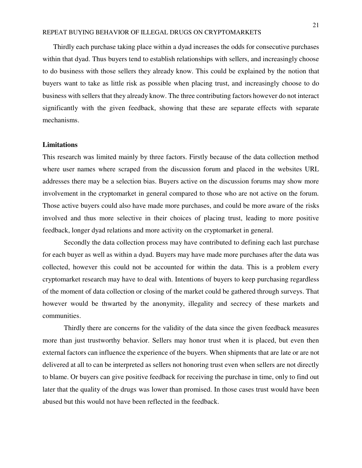Thirdly each purchase taking place within a dyad increases the odds for consecutive purchases within that dyad. Thus buyers tend to establish relationships with sellers, and increasingly choose to do business with those sellers they already know. This could be explained by the notion that buyers want to take as little risk as possible when placing trust, and increasingly choose to do business with sellers that they already know. The three contributing factors however do not interact significantly with the given feedback, showing that these are separate effects with separate mechanisms.

#### **Limitations**

This research was limited mainly by three factors. Firstly because of the data collection method where user names where scraped from the discussion forum and placed in the websites URL addresses there may be a selection bias. Buyers active on the discussion forums may show more involvement in the cryptomarket in general compared to those who are not active on the forum. Those active buyers could also have made more purchases, and could be more aware of the risks involved and thus more selective in their choices of placing trust, leading to more positive feedback, longer dyad relations and more activity on the cryptomarket in general.

Secondly the data collection process may have contributed to defining each last purchase for each buyer as well as within a dyad. Buyers may have made more purchases after the data was collected, however this could not be accounted for within the data. This is a problem every cryptomarket research may have to deal with. Intentions of buyers to keep purchasing regardless of the moment of data collection or closing of the market could be gathered through surveys. That however would be thwarted by the anonymity, illegality and secrecy of these markets and communities.

Thirdly there are concerns for the validity of the data since the given feedback measures more than just trustworthy behavior. Sellers may honor trust when it is placed, but even then external factors can influence the experience of the buyers. When shipments that are late or are not delivered at all to can be interpreted as sellers not honoring trust even when sellers are not directly to blame. Or buyers can give positive feedback for receiving the purchase in time, only to find out later that the quality of the drugs was lower than promised. In those cases trust would have been abused but this would not have been reflected in the feedback.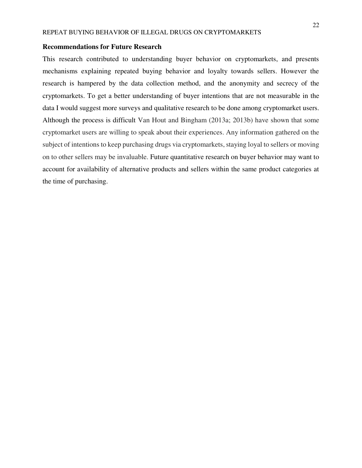# **Recommendations for Future Research**

This research contributed to understanding buyer behavior on cryptomarkets, and presents mechanisms explaining repeated buying behavior and loyalty towards sellers. However the research is hampered by the data collection method, and the anonymity and secrecy of the cryptomarkets. To get a better understanding of buyer intentions that are not measurable in the data I would suggest more surveys and qualitative research to be done among cryptomarket users. Although the process is difficult Van Hout and Bingham (2013a; 2013b) have shown that some cryptomarket users are willing to speak about their experiences. Any information gathered on the subject of intentions to keep purchasing drugs via cryptomarkets, staying loyal to sellers or moving on to other sellers may be invaluable. Future quantitative research on buyer behavior may want to account for availability of alternative products and sellers within the same product categories at the time of purchasing.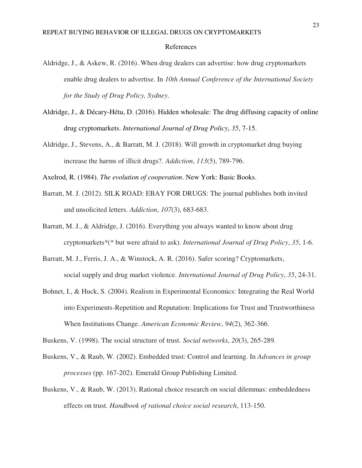- Aldridge, J., & Askew, R. (2016). When drug dealers can advertise: how drug cryptomarkets enable drug dealers to advertise. In *10th Annual Conference of the International Society for the Study of Drug Policy, Sydney*.
- Aldridge, J., & Décary-Hétu, D. (2016). Hidden wholesale: The drug diffusing capacity of online drug cryptomarkets. *International Journal of Drug Policy*, *35*, 7-15.
- Aldridge, J., Stevens, A., & Barratt, M. J. (2018). Will growth in cryptomarket drug buying increase the harms of illicit drugs?. *Addiction*, *113*(5), 789-796.

Axelrod, R. (1984). *The evolution of cooperation*. New York: Basic Books.

- Barratt, M. J. (2012). SILK ROAD: EBAY FOR DRUGS: The journal publishes both invited and unsolicited letters. *Addiction*, *107*(3), 683-683.
- Barratt, M. J., & Aldridge, J. (2016). Everything you always wanted to know about drug cryptomarkets\*(\* but were afraid to ask). *International Journal of Drug Policy*, *35*, 1-6.
- Barratt, M. J., Ferris, J. A., & Winstock, A. R. (2016). Safer scoring? Cryptomarkets, social supply and drug market violence. *International Journal of Drug Policy*, *35*, 24-31.
- Bohnet, I., & Huck, S. (2004). Realism in Experimental Economics: Integrating the Real World into Experiments-Repetition and Reputation: Implications for Trust and Trustworthiness When Institutions Change. *American Economic Review*, *94*(2), 362-366.

Buskens, V. (1998). The social structure of trust. *Social networks*, *20*(3), 265-289.

- Buskens, V., & Raub, W. (2002). Embedded trust: Control and learning. In *Advances in group processes* (pp. 167-202). Emerald Group Publishing Limited.
- Buskens, V., & Raub, W. (2013). Rational choice research on social dilemmas: embeddedness effects on trust. *Handbook of rational choice social research*, 113-150.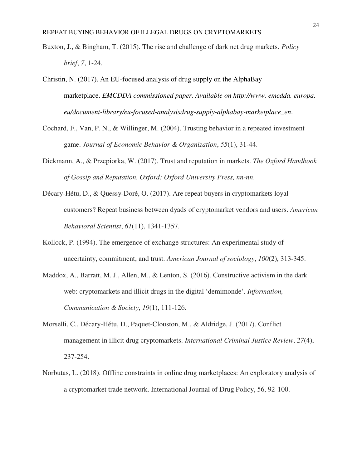- Buxton, J., & Bingham, T. (2015). The rise and challenge of dark net drug markets. *Policy brief*, *7*, 1-24.
- Christin, N. (2017). An EU-focused analysis of drug supply on the AlphaBay marketplace. *EMCDDA commissioned paper. Available on http://www. emcdda. europa. eu/document-library/eu-focused-analysisdrug-supply-alphabay-marketplace\_en*.
- Cochard, F., Van, P. N., & Willinger, M. (2004). Trusting behavior in a repeated investment game. *Journal of Economic Behavior & Organization*, *55*(1), 31-44.
- Diekmann, A., & Przepiorka, W. (2017). Trust and reputation in markets. *The Oxford Handbook of Gossip and Reputation. Oxford: Oxford University Press, nn-nn*.
- Décary-Hétu, D., & Quessy-Doré, O. (2017). Are repeat buyers in cryptomarkets loyal customers? Repeat business between dyads of cryptomarket vendors and users. *American Behavioral Scientist*, *61*(11), 1341-1357.
- Kollock, P. (1994). The emergence of exchange structures: An experimental study of uncertainty, commitment, and trust. *American Journal of sociology*, *100*(2), 313-345.
- Maddox, A., Barratt, M. J., Allen, M., & Lenton, S. (2016). Constructive activism in the dark web: cryptomarkets and illicit drugs in the digital 'demimonde'. *Information, Communication & Society*, *19*(1), 111-126.
- Morselli, C., Décary-Hétu, D., Paquet-Clouston, M., & Aldridge, J. (2017). Conflict management in illicit drug cryptomarkets. *International Criminal Justice Review*, *27*(4), 237-254.
- Norbutas, L. (2018). Offline constraints in online drug marketplaces: An exploratory analysis of a cryptomarket trade network. International Journal of Drug Policy, 56, 92-100.